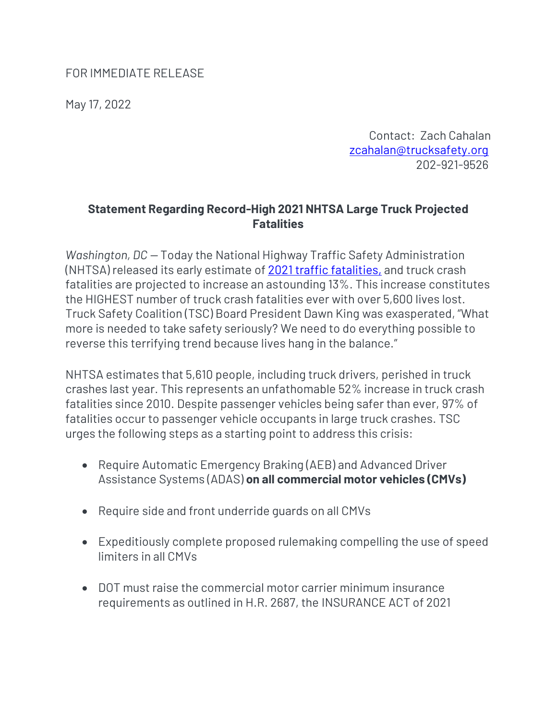## FOR IMMEDIATE RELEASE

May 17, 2022

Contact: Zach Cahalan [zcahalan@trucksafety.org](mailto:zcahalan@trucksafety.org) 202-921-9526

## **Statement Regarding Record-High 2021 NHTSA Large Truck Projected Fatalities**

*Washington, DC —* Today the National Highway Traffic Safety Administration (NHTSA) released its early estimate of 2021 [traffic fatalities,](https://www.nhtsa.gov/press-releases/early-estimate-2021-traffic-fatalities) and truck crash fatalities are projected to increase an astounding 13%. This increase constitutes the HIGHEST number of truck crash fatalities ever with over 5,600 lives lost. Truck Safety Coalition (TSC) Board President Dawn King was exasperated, "What more is needed to take safety seriously? We need to do everything possible to reverse this terrifying trend because lives hang in the balance."

NHTSA estimates that 5,610 people, including truck drivers, perished in truck crashes last year. This represents an unfathomable 52% increase in truck crash fatalities since 2010. Despite passenger vehicles being safer than ever, 97% of fatalities occur to passenger vehicle occupants in large truck crashes. TSC urges the following steps as a starting point to address this crisis:

- Require Automatic Emergency Braking (AEB) and Advanced Driver Assistance Systems (ADAS) **on all commercial motor vehicles (CMVs)**
- Require side and front underride guards on all CMVs
- Expeditiously complete proposed rulemaking compelling the use of speed limiters in all CMVs
- DOT must raise the commercial motor carrier minimum insurance requirements as outlined in H.R. 2687, the INSURANCE ACT of 2021